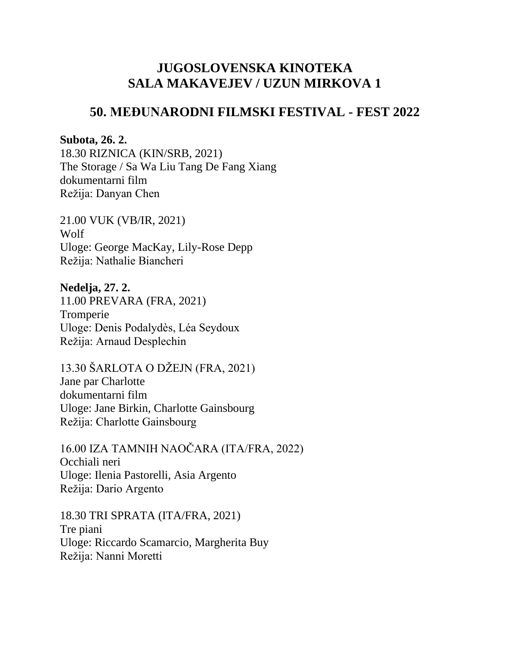## **JUGOSLOVENSKA KINOTEKA SALA MAKAVEJEV / UZUN MIRKOVA 1**

## **50. MEĐUNARODNI FILMSKI FESTIVAL - FEST 2022**

## **Subota, 26. 2.**

18.30 RIZNICA (KIN/SRB, 2021) The Storage / Sa Wa Liu Tang De Fang Xiang dokumentarni film Režija: Danyan Chen

21.00 VUK (VB/IR, 2021) Wolf Uloge: George MacKay, Lily-Rose Depp Režija: Nathalie Biancheri

**Nedelja, 27. 2.** 11.00 PREVARA (FRA, 2021) Tromperie Uloge: Denis Podalydès, Léa Seydoux Režija: Arnaud Desplechin

13.30 ŠARLOTA O DŽEJN (FRA, 2021) Jane par Charlotte dokumentarni film Uloge: Jane Birkin, Charlotte Gainsbourg Režija: Charlotte Gainsbourg

16.00 IZA TAMNIH NAOČARA (ITA/FRA, 2022) Occhiali neri Uloge: Ilenia Pastorelli, Asia Argento Režija: Dario Argento

18.30 TRI SPRATA (ITA/FRA, 2021) Tre piani Uloge: Riccardo Scamarcio, Margherita Buy Režija: Nanni Moretti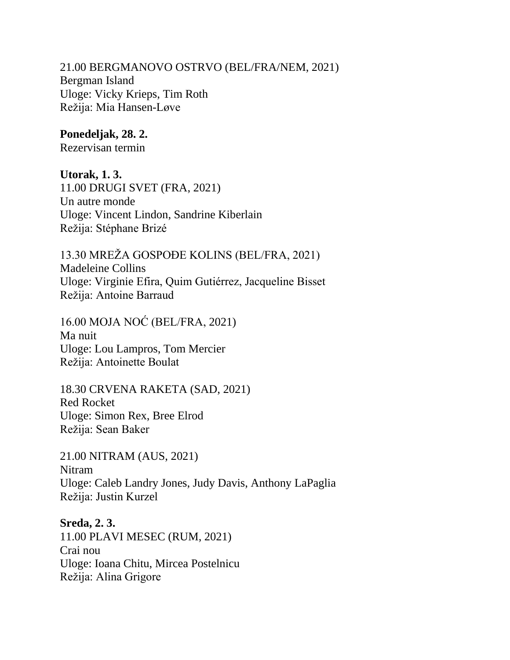21.00 BERGMANOVO OSTRVO (BEL/FRA/NEM, 2021) Bergman Island Uloge: Vicky Krieps, Tim Roth Režija: Mia Hansen-Løve

**Ponedeljak, 28. 2.**

Rezervisan termin

**Utorak, 1. 3.**

11.00 DRUGI SVET (FRA, 2021) Un autre monde Uloge: Vincent Lindon, Sandrine Kiberlain Režija: Stéphane Brizé

13.30 MREŽA GOSPOĐE KOLINS (BEL/FRA, 2021) Madeleine Collins Uloge: Virginie Efira, Quim Gutiérrez, Jacqueline Bisset Režija: Antoine Barraud

16.00 MOJA NOĆ (BEL/FRA, 2021) Ma nuit Uloge: Lou Lampros, Tom Mercier Režija: Antoinette Boulat

18.30 CRVENA RAKETA (SAD, 2021) Red Rocket Uloge: Simon Rex, Bree Elrod Režija: Sean Baker

21.00 NITRAM (AUS, 2021) Nitram Uloge: Caleb Landry Jones, Judy Davis, Anthony LaPaglia Režija: Justin Kurzel

**Sreda, 2. 3.**  11.00 PLAVI MESEC (RUM, 2021) Crai nou Uloge: Ioana Chitu, Mircea Postelnicu Režija: Alina Grigore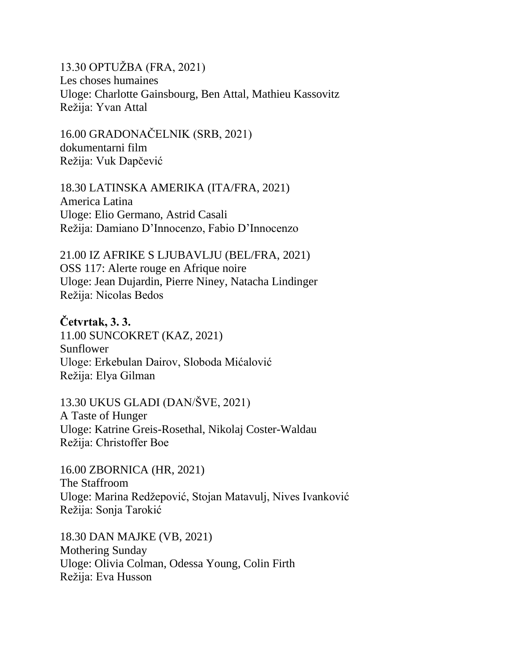13.30 OPTUŽBA (FRA, 2021) Les choses humaines Uloge: Charlotte Gainsbourg, Ben Attal, Mathieu Kassovitz Režija: Yvan Attal

16.00 GRADONAČELNIK (SRB, 2021) dokumentarni film Režija: Vuk Dapčević

18.30 LATINSKA AMERIKA (ITA/FRA, 2021) America Latina Uloge: Elio Germano, Astrid Casali Režija: Damiano D'Innocenzo, Fabio D'Innocenzo

21.00 IZ AFRIKE S LJUBAVLJU (BEL/FRA, 2021) OSS 117: Alerte rouge en Afrique noire Uloge: Jean Dujardin, Pierre Niney, Natacha Lindinger Režija: Nicolas Bedos

**Četvrtak, 3. 3.** 11.00 SUNCOKRET (KAZ, 2021) Sunflower Uloge: Erkebulan Dairov, Sloboda Mićalović Režija: Elya Gilman

13.30 UKUS GLADI (DAN/ŠVE, 2021) A Taste of Hunger Uloge: Katrine Greis-Rosethal, Nikolaj Coster-Waldau Režija: Christoffer Boe

16.00 ZBORNICA (HR, 2021) The Staffroom Uloge: Marina Redžepović, Stojan Matavulj, Nives Ivanković Režija: Sonja Tarokić

18.30 DAN MAJKE (VB, 2021) Mothering Sunday Uloge: Olivia Colman, Odessa Young, Colin Firth Režija: Eva Husson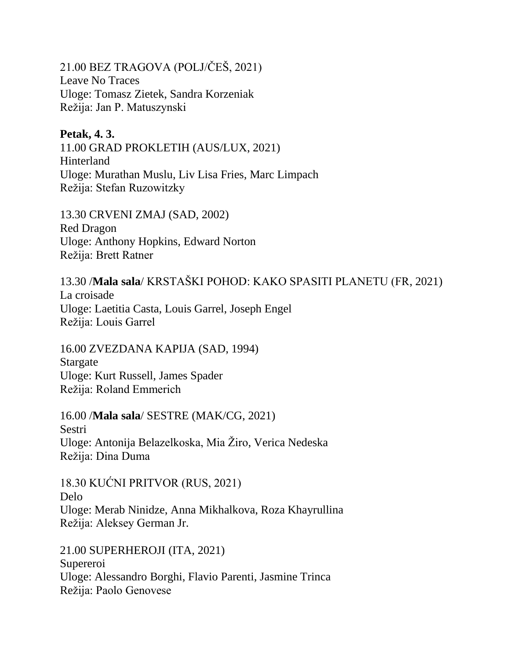21.00 BEZ TRAGOVA (POLJ/ČEŠ, 2021) Leave No Traces Uloge: Tomasz Zietek, Sandra Korzeniak Režija: Jan P. Matuszynski

## **Petak, 4. 3.**

11.00 GRAD PROKLETIH (AUS/LUX, 2021) Hinterland Uloge: Murathan Muslu, Liv Lisa Fries, Marc Limpach Režija: Stefan Ruzowitzky

13.30 CRVENI ZMAJ (SAD, 2002) Red Dragon Uloge: Anthony Hopkins, Edward Norton Režija: Brett Ratner

13.30 /**Mala sala**/ KRSTAŠKI POHOD: KAKO SPASITI PLANETU (FR, 2021) La croisade Uloge: Laetitia Casta, Louis Garrel, Joseph Engel Režija: Louis Garrel

16.00 ZVEZDANA KAPIJA (SAD, 1994) Stargate Uloge: Kurt Russell, James Spader Režija: Roland Emmerich

16.00 /**Mala sala**/ SESTRE (MAK/CG, 2021) Sestri Uloge: Antonija Belazelkoska, Mia Žiro, Verica Nedeska Režija: Dina Duma

18.30 KUĆNI PRITVOR (RUS, 2021) Delo Uloge: Merab Ninidze, Anna Mikhalkova, Roza Khayrullina Režija: Aleksey German Jr.

21.00 SUPERHEROJI (ITA, 2021) Supereroi Uloge: Alessandro Borghi, Flavio Parenti, Jasmine Trinca Režija: Paolo Genovese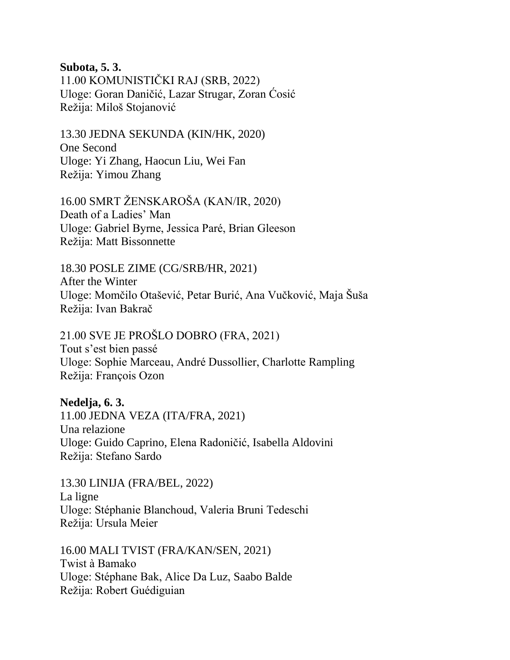**Subota, 5. 3.**

11.00 KOMUNISTIČKI RAJ (SRB, 2022) Uloge: Goran Daničić, Lazar Strugar, Zoran Ćosić Režija: Miloš Stojanović

13.30 JEDNA SEKUNDA (KIN/HK, 2020) One Second Uloge: Yi Zhang, Haocun Liu, Wei Fan Režija: Yimou Zhang

16.00 SMRT ŽENSKAROŠA (KAN/IR, 2020) Death of a Ladies' Man Uloge: Gabriel Byrne, Jessica Paré, Brian Gleeson Režija: Matt Bissonnette

18.30 POSLE ZIME (CG/SRB/HR, 2021) After the Winter Uloge: Momčilo Otašević, Petar Burić, Ana Vučković, Maja Šuša Režija: Ivan Bakrač

21.00 SVE JE PROŠLO DOBRO (FRA, 2021) Tout s'est bien passé Uloge: Sophie Marceau, André Dussollier, Charlotte Rampling Režija: François Ozon

**Nedelja, 6. 3.** 11.00 JEDNA VEZA (ITA/FRA, 2021) Una relazione Uloge: Guido Caprino, Elena Radoničić, Isabella Aldovini Režija: Stefano Sardo

13.30 LINIJA (FRA/BEL, 2022) La ligne Uloge: Stéphanie Blanchoud, Valeria Bruni Tedeschi Režija: Ursula Meier

16.00 MALI TVIST (FRA/KAN/SEN, 2021) Twist à Bamako Uloge: Stéphane Bak, Alice Da Luz, Saabo Balde Režija: Robert Guédiguian